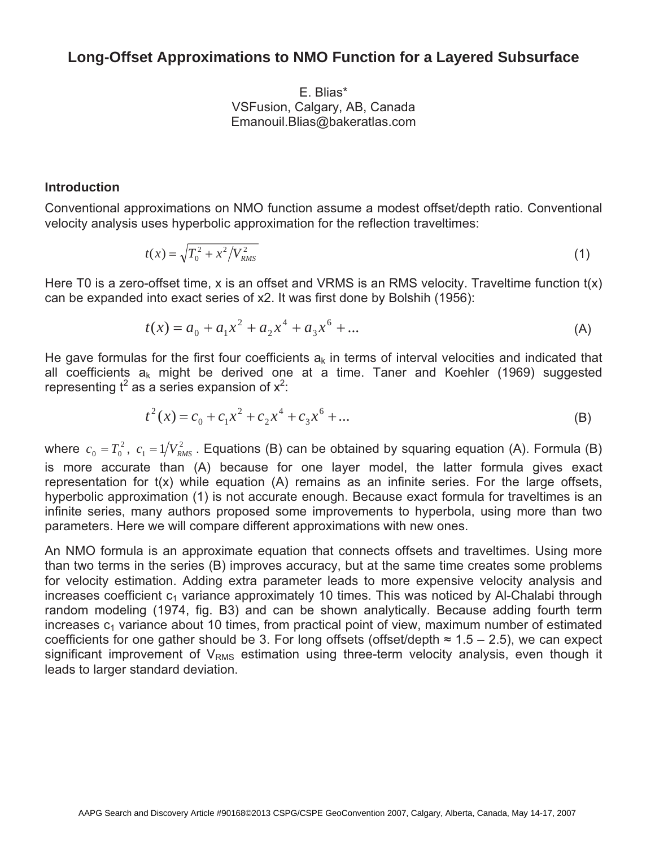# **Long-Offset Approximations to NMO Function for a Layered Subsurface**

E. Blias\* VSFusion, Calgary, AB, Canada Emanouil.Blias@bakeratlas.com

## **Introduction**

Conventional approximations on NMO function assume a modest offset/depth ratio. Conventional velocity analysis uses hyperbolic approximation for the reflection traveltimes:

$$
t(x) = \sqrt{T_0^2 + x^2/V_{RMS}^2}
$$
 (1)

Here T0 is a zero-offset time, x is an offset and VRMS is an RMS velocity. Traveltime function t(x) can be expanded into exact series of x2. It was first done by Bolshih (1956):

$$
t(x) = a_0 + a_1 x^2 + a_2 x^4 + a_3 x^6 + \dots
$$
 (A)

He gave formulas for the first four coefficients  $a_k$  in terms of interval velocities and indicated that all coefficients  $a_k$  might be derived one at a time. Taner and Koehler (1969) suggested representing  $t^2$  as a series expansion of  $x^2$ :

$$
t^{2}(x) = c_{0} + c_{1}x^{2} + c_{2}x^{4} + c_{3}x^{6} + ...
$$
 (B)

where  $c_0 = T_0^2$ ,  $c_1 = 1/V_{RMS}^2$ . Equations (B) can be obtained by squaring equation (A). Formula (B) is more accurate than (A) because for one layer model, the latter formula gives exact representation for t(x) while equation (A) remains as an infinite series. For the large offsets, hyperbolic approximation (1) is not accurate enough. Because exact formula for traveltimes is an infinite series, many authors proposed some improvements to hyperbola, using more than two parameters. Here we will compare different approximations with new ones.

An NMO formula is an approximate equation that connects offsets and traveltimes. Using more than two terms in the series (B) improves accuracy, but at the same time creates some problems for velocity estimation. Adding extra parameter leads to more expensive velocity analysis and increases coefficient  $c_1$  variance approximately 10 times. This was noticed by Al-Chalabi through random modeling (1974, fig. B3) and can be shown analytically. Because adding fourth term increases  $c_1$  variance about 10 times, from practical point of view, maximum number of estimated coefficients for one gather should be 3. For long offsets (offset/depth  $\approx 1.5 - 2.5$ ), we can expect significant improvement of  $V<sub>RMS</sub>$  estimation using three-term velocity analysis, even though it leads to larger standard deviation.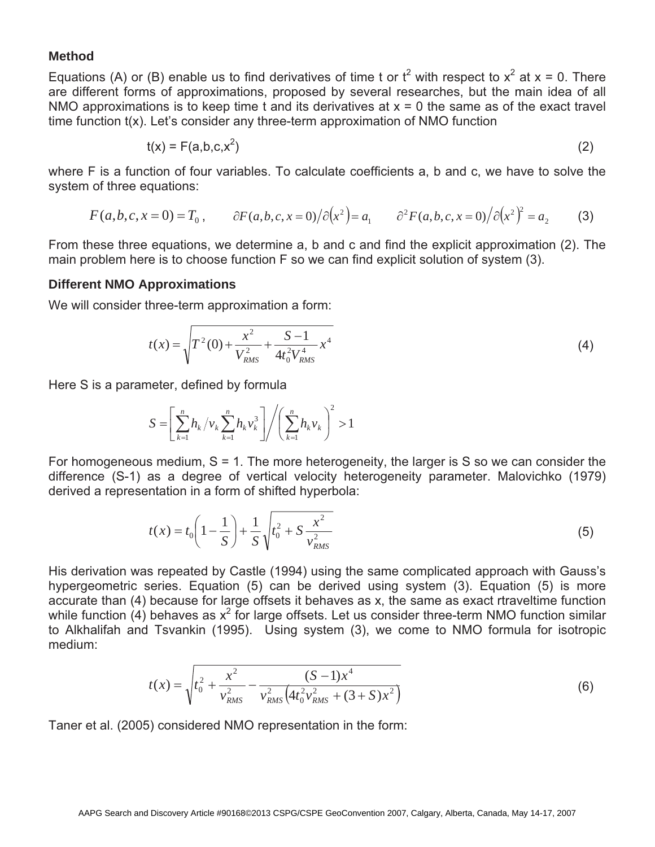### **Method**

Equations (A) or (B) enable us to find derivatives of time t or  $t^2$  with respect to  $x^2$  at  $x = 0$ . There are different forms of approximations, proposed by several researches, but the main idea of all NMO approximations is to keep time t and its derivatives at  $x = 0$  the same as of the exact travel time function t(x). Let's consider any three-term approximation of NMO function

$$
t(x) = F(a,b,c,x^2) \tag{2}
$$

where F is a function of four variables. To calculate coefficients a, b and c, we have to solve the system of three equations:

$$
F(a,b,c,x=0) = T_0 , \qquad \partial F(a,b,c,x=0) / \partial (x^2) = a_1 \qquad \partial^2 F(a,b,c,x=0) / \partial (x^2)^2 = a_2 \qquad (3)
$$

From these three equations, we determine a, b and c and find the explicit approximation (2). The main problem here is to choose function F so we can find explicit solution of system (3).

### **Different NMO Approximations**

We will consider three-term approximation a form:

$$
t(x) = \sqrt{T^2(0) + \frac{x^2}{V_{RMS}^2} + \frac{S-1}{4t_0^2 V_{RMS}^4} x^4}
$$
 (4)

Here S is a parameter, defined by formula

$$
S = \left[ \sum_{k=1}^{n} h_k / v_k \sum_{k=1}^{n} h_k v_k^3 \right] / \left( \sum_{k=1}^{n} h_k v_k \right)^2 > 1
$$

For homogeneous medium,  $S = 1$ . The more heterogeneity, the larger is  $S$  so we can consider the difference (S-1) as a degree of vertical velocity heterogeneity parameter. Malovichko (1979) derived a representation in a form of shifted hyperbola:

$$
t(x) = t_0 \left(1 - \frac{1}{S}\right) + \frac{1}{S} \sqrt{t_0^2 + S \frac{x^2}{v_{RMS}^2}}
$$
 (5)

His derivation was repeated by Castle (1994) using the same complicated approach with Gauss's hypergeometric series. Equation (5) can be derived using system (3). Equation (5) is more accurate than (4) because for large offsets it behaves as x, the same as exact rtraveltime function while function (4) behaves as  $x^2$  for large offsets. Let us consider three-term NMO function similar to Alkhalifah and Tsvankin (1995). Using system (3), we come to NMO formula for isotropic medium:

$$
t(x) = \sqrt{t_0^2 + \frac{x^2}{v_{RMS}^2} - \frac{(S-1)x^4}{v_{RMS}^2 \left(4t_0^2 v_{RMS}^2 + (3+S)x^2\right)}}
$$
(6)

Taner et al. (2005) considered NMO representation in the form: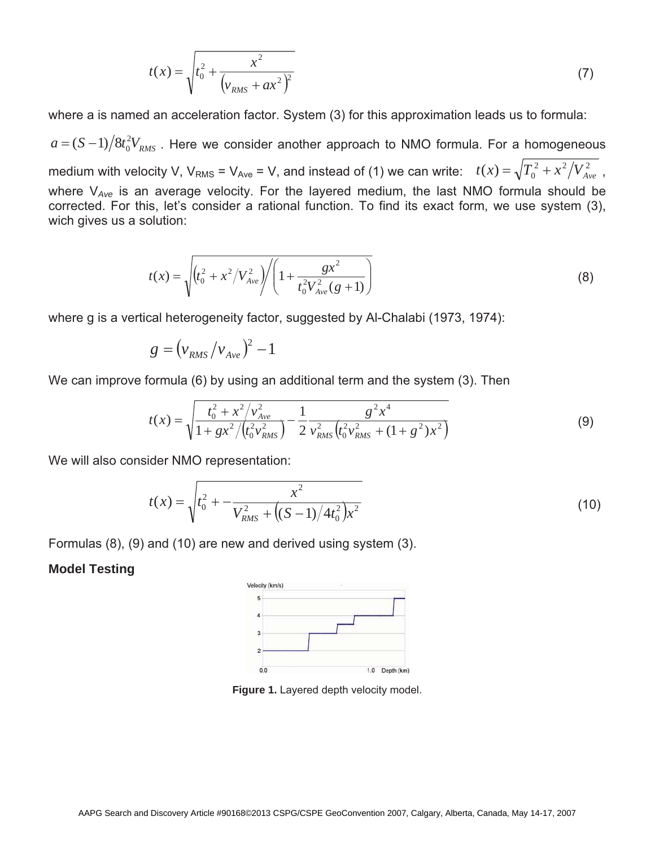$$
t(x) = \sqrt{t_0^2 + \frac{x^2}{\left(v_{RMS} + ax^2\right)^2}}
$$
 (7)

where a is named an acceleration factor. System (3) for this approximation leads us to formula:

 $\left(\frac{2}{\pi} - \frac{2}{\pi}\right)^{12}$  *RMS*  $\Delta = (S-1)/8t_0^2V_{RMS}$  . Here we consider another approach to NMO formula. For a homogeneous medium with velocity V, V<sub>RMS</sub> = V<sub>Ave</sub> = V, and instead of (1) we can write:  $t(x) = \sqrt{T_0^2 + x^2/V_{Ave}^2}$ , where V*Ave* is an average velocity. For the layered medium, the last NMO formula should be corrected. For this, let's consider a rational function. To find its exact form, we use system (3), wich gives us a solution:

$$
t(x) = \sqrt{\left(t_0^2 + x^2/V_{Ave}^2\right) / \left(1 + \frac{gx^2}{t_0^2 V_{Ave}^2(g+1)}\right)}
$$
(8)

where g is a vertical heterogeneity factor, suggested by Al-Chalabi (1973, 1974):

$$
g = (v_{RMS}/v_{Ave})^2 - 1
$$

We can improve formula (6) by using an additional term and the system (3). Then

$$
t(x) = \sqrt{\frac{t_0^2 + x^2/v_{Ave}^2}{1 + gx^2/(t_0^2 v_{RMS}^2)}} - \frac{1}{2} \frac{g^2 x^4}{v_{RMS}^2 (t_0^2 v_{RMS}^2 + (1 + g^2)x^2)}
$$
(9)

We will also consider NMO representation:

$$
t(x) = \sqrt{t_0^2 + \frac{x^2}{V_{RMS}^2 + \left((S-1)/4t_0^2\right)x^2}}
$$
(10)

Formulas (8), (9) and (10) are new and derived using system (3).

#### **Model Testing**



**Figure 1.** Layered depth velocity model.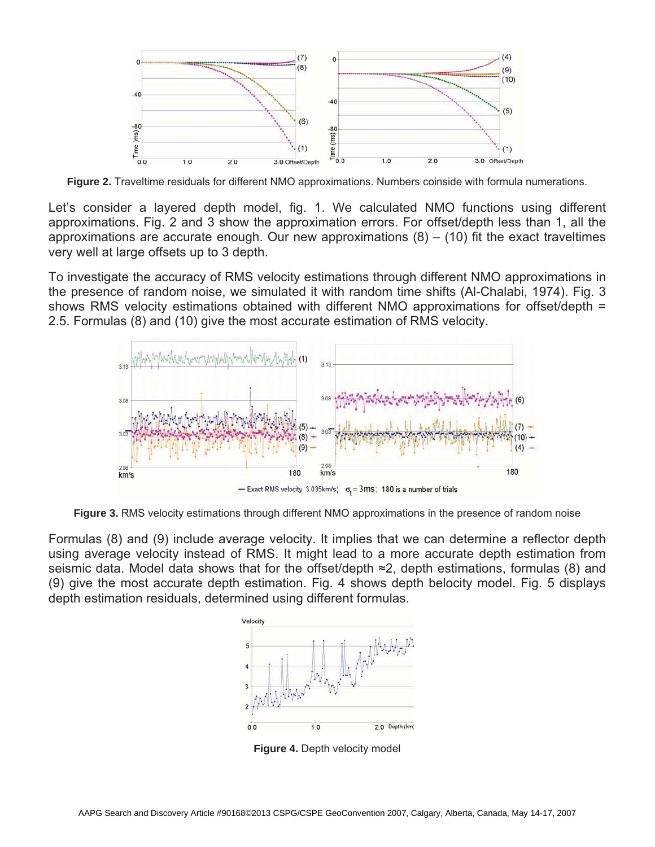

**Figure 2.** Traveltime residuals for different NMO approximations. Numbers coinside with formula numerations.

Let's consider a layered depth model, fig. 1. We calculated NMO functions using different approximations. Fig. 2 and 3 show the approximation errors. For offset/depth less than 1, all the approximations are accurate enough. Our new approximations  $(8) - (10)$  fit the exact traveltimes very well at large offsets up to 3 depth.

To investigate the accuracy of RMS velocity estimations through different NMO approximations in the presence of random noise, we simulated it with random time shifts (Al-Chalabi, 1974). Fig. 3 shows RMS velocity estimations obtained with different NMO approximations for offset/depth = 2.5. Formulas (8) and (10) give the most accurate estimation of RMS velocity.



**Figure 3.** RMS velocity estimations through different NMO approximations in the presence of random noise

Formulas (8) and (9) include average velocity. It implies that we can determine a reflector depth using average velocity instead of RMS. It might lead to a more accurate depth estimation from seismic data. Model data shows that for the offset/depth  $\approx$ 2, depth estimations, formulas (8) and (9) give the most accurate depth estimation. Fig. 4 shows depth belocity model. Fig. 5 displays depth estimation residuals, determined using different formulas.



**Figure 4.** Depth velocity model